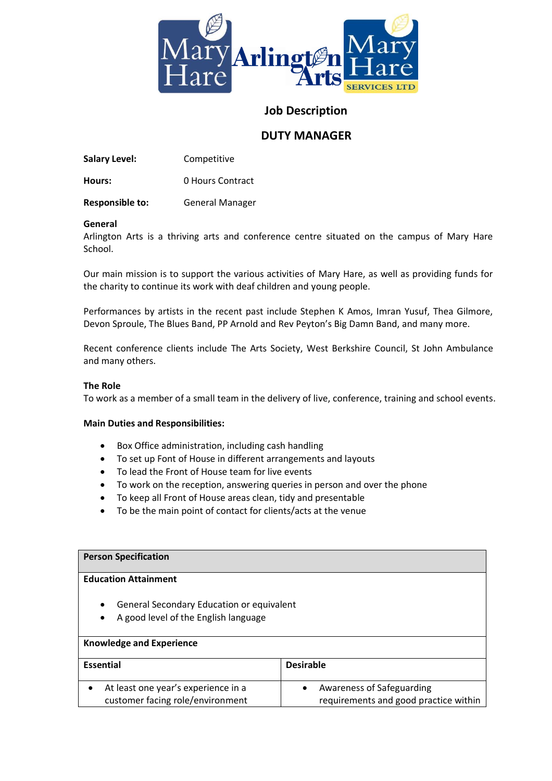

# **Job Description**

# **DUTY MANAGER**

**Salary Level:** Competitive

**Hours:** 0 Hours Contract

**Responsible to:** General Manager

#### **General**

Arlington Arts is a thriving arts and conference centre situated on the campus of Mary Hare School.

Our main mission is to support the various activities of Mary Hare, as well as providing funds for the charity to continue its work with deaf children and young people.

Performances by artists in the recent past include Stephen K Amos, Imran Yusuf, Thea Gilmore, Devon Sproule, The Blues Band, PP Arnold and Rev Peyton's Big Damn Band, and many more.

Recent conference clients include The Arts Society, West Berkshire Council, St John Ambulance and many others.

#### **The Role**

To work as a member of a small team in the delivery of live, conference, training and school events.

#### **Main Duties and Responsibilities:**

- Box Office administration, including cash handling
- To set up Font of House in different arrangements and layouts
- To lead the Front of House team for live events
- To work on the reception, answering queries in person and over the phone
- To keep all Front of House areas clean, tidy and presentable
- To be the main point of contact for clients/acts at the venue

| <b>Person Specification</b>                                                                    |                                                                                 |
|------------------------------------------------------------------------------------------------|---------------------------------------------------------------------------------|
| <b>Education Attainment</b>                                                                    |                                                                                 |
| General Secondary Education or equivalent<br>$\bullet$<br>A good level of the English language |                                                                                 |
| <b>Knowledge and Experience</b>                                                                |                                                                                 |
| Essential                                                                                      | <b>Desirable</b>                                                                |
| At least one year's experience in a<br>$\bullet$<br>customer facing role/environment           | Awareness of Safeguarding<br>$\bullet$<br>requirements and good practice within |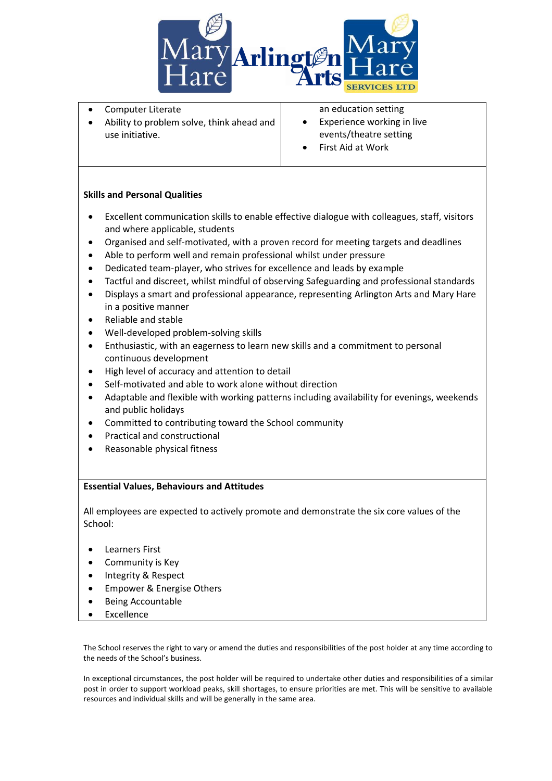

- Computer Literate
- Ability to problem solve, think ahead and use initiative.
- an education setting
- Experience working in live events/theatre setting
- First Aid at Work

### **Skills and Personal Qualities**

- Excellent communication skills to enable effective dialogue with colleagues, staff, visitors and where applicable, students
- Organised and self-motivated, with a proven record for meeting targets and deadlines
- Able to perform well and remain professional whilst under pressure
- Dedicated team-player, who strives for excellence and leads by example
- Tactful and discreet, whilst mindful of observing Safeguarding and professional standards
- Displays a smart and professional appearance, representing Arlington Arts and Mary Hare in a positive manner
- Reliable and stable
- Well-developed problem-solving skills
- Enthusiastic, with an eagerness to learn new skills and a commitment to personal continuous development
- High level of accuracy and attention to detail
- Self-motivated and able to work alone without direction
- Adaptable and flexible with working patterns including availability for evenings, weekends and public holidays
- Committed to contributing toward the School community
- Practical and constructional
- Reasonable physical fitness

### **Essential Values, Behaviours and Attitudes**

All employees are expected to actively promote and demonstrate the six core values of the School:

- Learners First
- Community is Key
- Integrity & Respect
- Empower & Energise Others
- Being Accountable
- **Excellence**

The School reserves the right to vary or amend the duties and responsibilities of the post holder at any time according to the needs of the School's business.

In exceptional circumstances, the post holder will be required to undertake other duties and responsibilities of a similar post in order to support workload peaks, skill shortages, to ensure priorities are met. This will be sensitive to available resources and individual skills and will be generally in the same area.